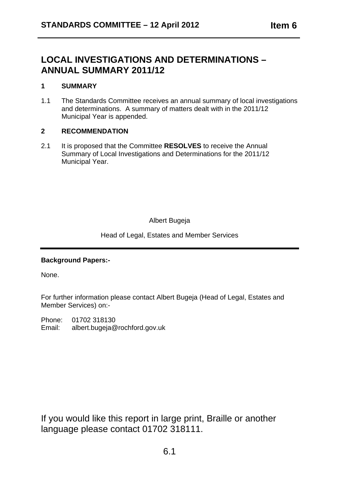# **LOCAL INVESTIGATIONS AND DETERMINATIONS – ANNUAL SUMMARY 2011/12**

### **1 SUMMARY**

1.1 Municipal Year is appended. The Standards Committee receives an annual summary of local investigations and determinations. A summary of matters dealt with in the 2011/12

#### **2 RECOMMENDATION**

2.1 It is proposed that the Committee **RESOLVES** to receive the Annual Municipal Year. Summary of Local Investigations and Determinations for the 2011/12

Albert Bugeja

Head of Legal, Estates and Member Services

## **Background Papers:-**

None.

For further information please contact Albert Bugeja (Head of Legal, Estates and Member Services) on:-

Phone: 01702 318130 Email: albert.bugeja@rochford.gov.uk

If you would like this report in large print, Braille or another language please contact 01702 318111.